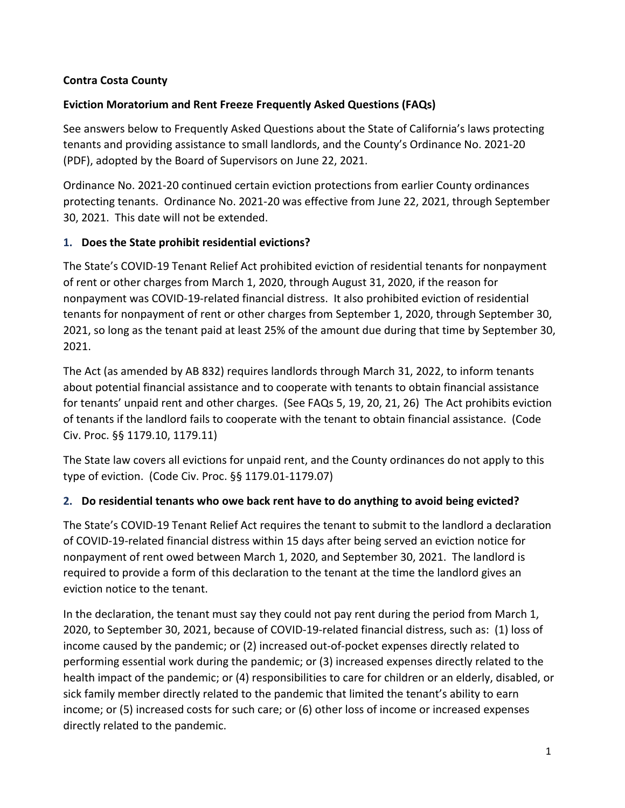#### **Contra Costa County**

### **Eviction Moratorium and Rent Freeze Frequently Asked Questions (FAQs)**

See answers below to Frequently Asked Questions about the State of California's laws protecting tenants and providing assistance to small landlords, and the County's Ordinance No. 2021-20 (PDF), adopted by the Board of Supervisors on June 22, 2021.

Ordinance No. 2021-20 continued certain eviction protections from earlier County ordinances protecting tenants. Ordinance No. 2021-20 was effective from June 22, 2021, through September 30, 2021. This date will not be extended.

### <span id="page-0-0"></span>**1. Does the State prohibit residential evictions?**

The State's COVID-19 Tenant Relief Act prohibited eviction of residential tenants for nonpayment of rent or other charges from March 1, 2020, through August 31, 2020, if the reason for nonpayment was COVID-19-related financial distress. It also prohibited eviction of residential tenants for nonpayment of rent or other charges from September 1, 2020, through September 30, 2021, so long as the tenant paid at least 25% of the amount due during that time by September 30, 2021.

The Act (as amended by AB 832) requires landlords through March 31, 2022, to inform tenants about potential financial assistance and to cooperate with tenants to obtain financial assistance for tenants' unpaid rent and other charges. (See FAQ[s 5,](#page-2-0) [19,](#page-5-0) [20,](#page-6-0) [21,](#page-6-1) [26\)](#page-8-0) The Act prohibits eviction of tenants if the landlord fails to cooperate with the tenant to obtain financial assistance. (Code Civ. Proc. §§ 1179.10, 1179.11)

The State law covers all evictions for unpaid rent, and the County ordinances do not apply to this type of eviction. (Code Civ. Proc. §§ 1179.01-1179.07)

#### **2. Do residential tenants who owe back rent have to do anything to avoid being evicted?**

The State's COVID-19 Tenant Relief Act requires the tenant to submit to the landlord a declaration of COVID-19-related financial distress within 15 days after being served an eviction notice for nonpayment of rent owed between March 1, 2020, and September 30, 2021. The landlord is required to provide a form of this declaration to the tenant at the time the landlord gives an eviction notice to the tenant.

In the declaration, the tenant must say they could not pay rent during the period from March 1, 2020, to September 30, 2021, because of COVID-19-related financial distress, such as: (1) loss of income caused by the pandemic; or (2) increased out-of-pocket expenses directly related to performing essential work during the pandemic; or (3) increased expenses directly related to the health impact of the pandemic; or (4) responsibilities to care for children or an elderly, disabled, or sick family member directly related to the pandemic that limited the tenant's ability to earn income; or (5) increased costs for such care; or (6) other loss of income or increased expenses directly related to the pandemic.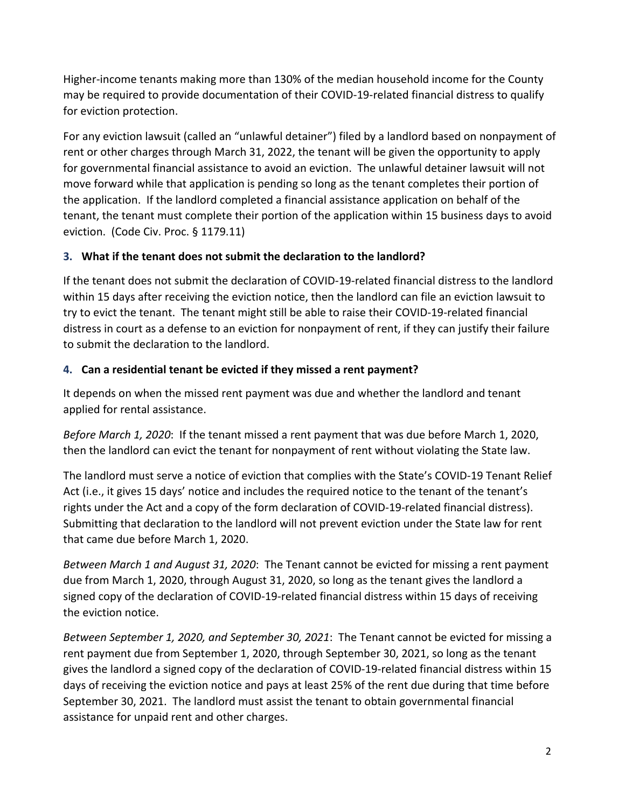Higher-income tenants making more than 130% of the median household income for the County may be required to provide documentation of their COVID-19-related financial distress to qualify for eviction protection.

For any eviction lawsuit (called an "unlawful detainer") filed by a landlord based on nonpayment of rent or other charges through March 31, 2022, the tenant will be given the opportunity to apply for governmental financial assistance to avoid an eviction. The unlawful detainer lawsuit will not move forward while that application is pending so long as the tenant completes their portion of the application. If the landlord completed a financial assistance application on behalf of the tenant, the tenant must complete their portion of the application within 15 business days to avoid eviction. (Code Civ. Proc. § 1179.11)

### **3. What if the tenant does not submit the declaration to the landlord?**

If the tenant does not submit the declaration of COVID-19-related financial distress to the landlord within 15 days after receiving the eviction notice, then the landlord can file an eviction lawsuit to try to evict the tenant. The tenant might still be able to raise their COVID-19-related financial distress in court as a defense to an eviction for nonpayment of rent, if they can justify their failure to submit the declaration to the landlord.

## **4. Can a residential tenant be evicted if they missed a rent payment?**

It depends on when the missed rent payment was due and whether the landlord and tenant applied for rental assistance.

*Before March 1, 2020*: If the tenant missed a rent payment that was due before March 1, 2020, then the landlord can evict the tenant for nonpayment of rent without violating the State law.

The landlord must serve a notice of eviction that complies with the State's COVID-19 Tenant Relief Act (i.e., it gives 15 days' notice and includes the required notice to the tenant of the tenant's rights under the Act and a copy of the form declaration of COVID-19-related financial distress). Submitting that declaration to the landlord will not prevent eviction under the State law for rent that came due before March 1, 2020.

*Between March 1 and August 31, 2020*: The Tenant cannot be evicted for missing a rent payment due from March 1, 2020, through August 31, 2020, so long as the tenant gives the landlord a signed copy of the declaration of COVID-19-related financial distress within 15 days of receiving the eviction notice.

*Between September 1, 2020, and September 30, 2021*: The Tenant cannot be evicted for missing a rent payment due from September 1, 2020, through September 30, 2021, so long as the tenant gives the landlord a signed copy of the declaration of COVID-19-related financial distress within 15 days of receiving the eviction notice and pays at least 25% of the rent due during that time before September 30, 2021. The landlord must assist the tenant to obtain governmental financial assistance for unpaid rent and other charges.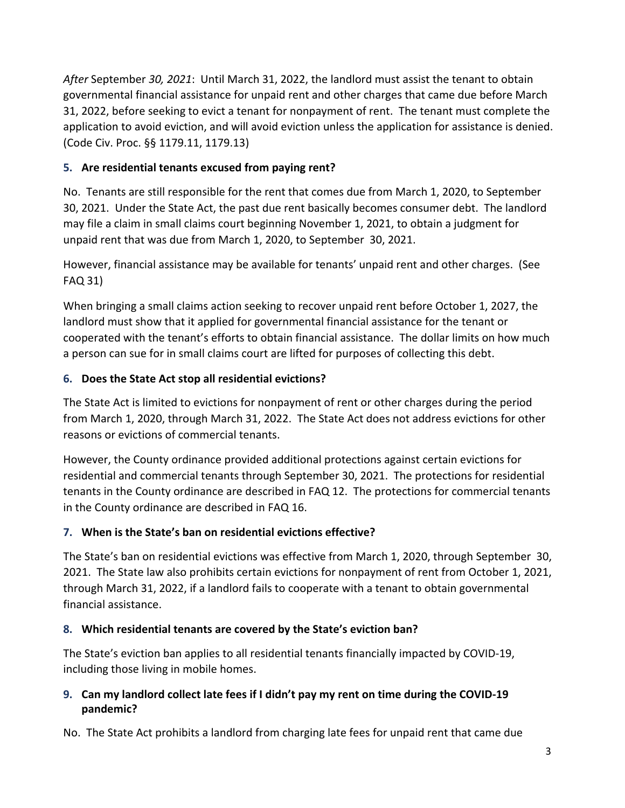*After* September *30, 2021*: Until March 31, 2022, the landlord must assist the tenant to obtain governmental financial assistance for unpaid rent and other charges that came due before March 31, 2022, before seeking to evict a tenant for nonpayment of rent. The tenant must complete the application to avoid eviction, and will avoid eviction unless the application for assistance is denied. (Code Civ. Proc. §§ 1179.11, 1179.13)

## <span id="page-2-0"></span>**5. Are residential tenants excused from paying rent?**

No. Tenants are still responsible for the rent that comes due from March 1, 2020, to September 30, 2021. Under the State Act, the past due rent basically becomes consumer debt. The landlord may file a claim in small claims court beginning November 1, 2021, to obtain a judgment for unpaid rent that was due from March 1, 2020, to September 30, 2021.

However, financial assistance may be available for tenants' unpaid rent and other charges. (See FAQ [31\)](#page-9-0)

When bringing a small claims action seeking to recover unpaid rent before October 1, 2027, the landlord must show that it applied for governmental financial assistance for the tenant or cooperated with the tenant's efforts to obtain financial assistance. The dollar limits on how much a person can sue for in small claims court are lifted for purposes of collecting this debt.

## **6. Does the State Act stop all residential evictions?**

The State Act is limited to evictions for nonpayment of rent or other charges during the period from March 1, 2020, through March 31, 2022. The State Act does not address evictions for other reasons or evictions of commercial tenants.

However, the County ordinance provided additional protections against certain evictions for residential and commercial tenants through September 30, 2021. The protections for residential tenants in the County ordinance are described in FAQ [12.](#page-3-0) The protections for commercial tenants in the County ordinance are described in FAQ [16.](#page-4-0)

# **7. When is the State's ban on residential evictions effective?**

The State's ban on residential evictions was effective from March 1, 2020, through September 30, 2021. The State law also prohibits certain evictions for nonpayment of rent from October 1, 2021, through March 31, 2022, if a landlord fails to cooperate with a tenant to obtain governmental financial assistance.

# **8. Which residential tenants are covered by the State's eviction ban?**

The State's eviction ban applies to all residential tenants financially impacted by COVID-19, including those living in mobile homes.

## **9. Can my landlord collect late fees if I didn't pay my rent on time during the COVID-19 pandemic?**

No. The State Act prohibits a landlord from charging late fees for unpaid rent that came due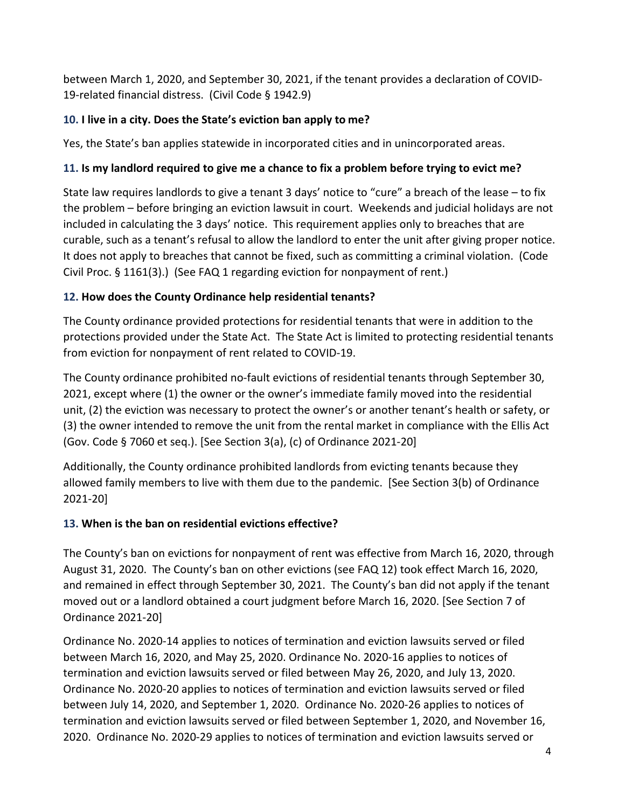between March 1, 2020, and September 30, 2021, if the tenant provides a declaration of COVID-19-related financial distress. (Civil Code § 1942.9)

## **10. I live in a city. Does the State's eviction ban apply to me?**

Yes, the State's ban applies statewide in incorporated cities and in unincorporated areas.

## <span id="page-3-1"></span>**11. Is my landlord required to give me a chance to fix a problem before trying to evict me?**

State law requires landlords to give a tenant 3 days' notice to "cure" a breach of the lease – to fix the problem – before bringing an eviction lawsuit in court. Weekends and judicial holidays are not included in calculating the 3 days' notice. This requirement applies only to breaches that are curable, such as a tenant's refusal to allow the landlord to enter the unit after giving proper notice. It does not apply to breaches that cannot be fixed, such as committing a criminal violation. (Code Civil Proc. § 1161(3).) (See FAQ [1](#page-0-0) regarding eviction for nonpayment of rent.)

## <span id="page-3-0"></span>**12. How does the County Ordinance help residential tenants?**

The County ordinance provided protections for residential tenants that were in addition to the protections provided under the State Act. The State Act is limited to protecting residential tenants from eviction for nonpayment of rent related to COVID-19.

The County ordinance prohibited no-fault evictions of residential tenants through September 30, 2021, except where (1) the owner or the owner's immediate family moved into the residential unit, (2) the eviction was necessary to protect the owner's or another tenant's health or safety, or (3) the owner intended to remove the unit from the rental market in compliance with the Ellis Act (Gov. Code § 7060 et seq.). [See Section 3(a), (c) of Ordinance 2021-20]

Additionally, the County ordinance prohibited landlords from evicting tenants because they allowed family members to live with them due to the pandemic. [See Section 3(b) of Ordinance 2021-20]

# **13. When is the ban on residential evictions effective?**

The County's ban on evictions for nonpayment of rent was effective from March 16, 2020, through August 31, 2020. The County's ban on other evictions (see FAQ [12\)](#page-3-0) took effect March 16, 2020, and remained in effect through September 30, 2021. The County's ban did not apply if the tenant moved out or a landlord obtained a court judgment before March 16, 2020. [See Section 7 of Ordinance 2021-20]

Ordinance No. 2020-14 applies to notices of termination and eviction lawsuits served or filed between March 16, 2020, and May 25, 2020. Ordinance No. 2020-16 applies to notices of termination and eviction lawsuits served or filed between May 26, 2020, and July 13, 2020. Ordinance No. 2020-20 applies to notices of termination and eviction lawsuits served or filed between July 14, 2020, and September 1, 2020. Ordinance No. 2020-26 applies to notices of termination and eviction lawsuits served or filed between September 1, 2020, and November 16, 2020. Ordinance No. 2020-29 applies to notices of termination and eviction lawsuits served or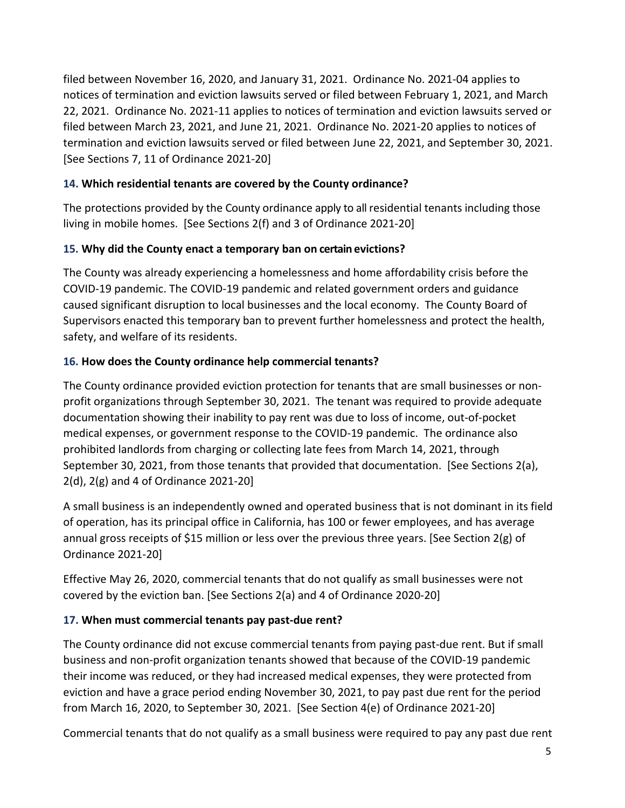filed between November 16, 2020, and January 31, 2021. Ordinance No. 2021-04 applies to notices of termination and eviction lawsuits served or filed between February 1, 2021, and March 22, 2021. Ordinance No. 2021-11 applies to notices of termination and eviction lawsuits served or filed between March 23, 2021, and June 21, 2021. Ordinance No. 2021-20 applies to notices of termination and eviction lawsuits served or filed between June 22, 2021, and September 30, 2021. [See Sections 7, 11 of Ordinance 2021-20]

### **14. Which residential tenants are covered by the County ordinance?**

The protections provided by the County ordinance apply to all residential tenants including those living in mobile homes. [See Sections 2(f) and 3 of Ordinance 2021-20]

### **15. Why did the County enact a temporary ban on certain evictions?**

The County was already experiencing a homelessness and home affordability crisis before the COVID-19 pandemic. The COVID-19 pandemic and related government orders and guidance caused significant disruption to local businesses and the local economy. The County Board of Supervisors enacted this temporary ban to prevent further homelessness and protect the health, safety, and welfare of its residents.

### <span id="page-4-0"></span>**16. How does the County ordinance help commercial tenants?**

The County ordinance provided eviction protection for tenants that are small businesses or nonprofit organizations through September 30, 2021. The tenant was required to provide adequate documentation showing their inability to pay rent was due to loss of income, out-of-pocket medical expenses, or government response to the COVID-19 pandemic. The ordinance also prohibited landlords from charging or collecting late fees from March 14, 2021, through September 30, 2021, from those tenants that provided that documentation. [See Sections 2(a), 2(d), 2(g) and 4 of Ordinance 2021-20]

A small business is an independently owned and operated business that is not dominant in its field of operation, has its principal office in California, has 100 or fewer employees, and has average annual gross receipts of \$15 million or less over the previous three years. [See Section 2(g) of Ordinance 2021-20]

Effective May 26, 2020, commercial tenants that do not qualify as small businesses were not covered by the eviction ban. [See Sections 2(a) and 4 of Ordinance 2020-20]

#### **17. When must commercial tenants pay past-due rent?**

The County ordinance did not excuse commercial tenants from paying past-due rent. But if small business and non-profit organization tenants showed that because of the COVID-19 pandemic their income was reduced, or they had increased medical expenses, they were protected from eviction and have a grace period ending November 30, 2021, to pay past due rent for the period from March 16, 2020, to September 30, 2021. [See Section 4(e) of Ordinance 2021-20]

Commercial tenants that do not qualify as a small business were required to pay any past due rent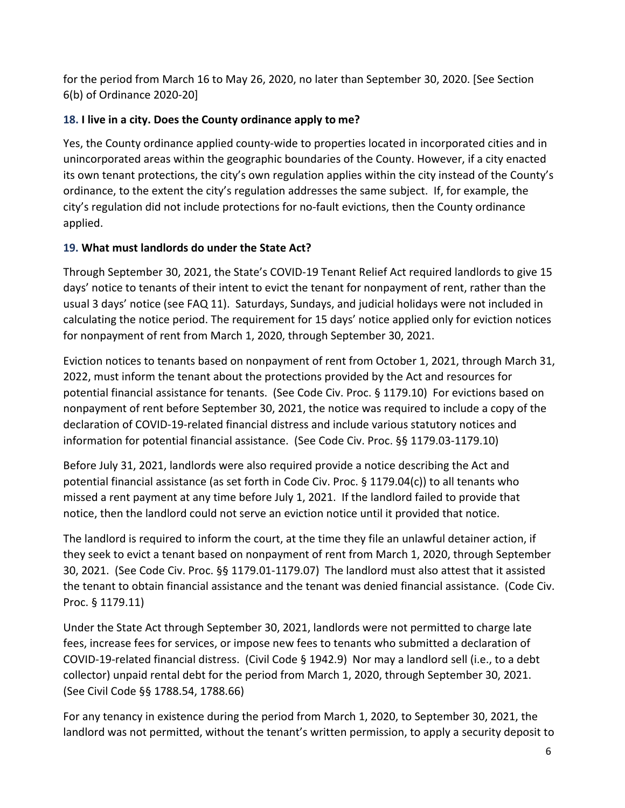for the period from March 16 to May 26, 2020, no later than September 30, 2020. [See Section 6(b) of Ordinance 2020-20]

## **18. I live in a city. Does the County ordinance apply to me?**

Yes, the County ordinance applied county-wide to properties located in incorporated cities and in unincorporated areas within the geographic boundaries of the County. However, if a city enacted its own tenant protections, the city's own regulation applies within the city instead of the County's ordinance, to the extent the city's regulation addresses the same subject. If, for example, the city's regulation did not include protections for no-fault evictions, then the County ordinance applied.

## <span id="page-5-0"></span>**19. What must landlords do under the State Act?**

Through September 30, 2021, the State's COVID-19 Tenant Relief Act required landlords to give 15 days' notice to tenants of their intent to evict the tenant for nonpayment of rent, rather than the usual 3 days' notice (see FAQ [11\)](#page-3-1). Saturdays, Sundays, and judicial holidays were not included in calculating the notice period. The requirement for 15 days' notice applied only for eviction notices for nonpayment of rent from March 1, 2020, through September 30, 2021.

Eviction notices to tenants based on nonpayment of rent from October 1, 2021, through March 31, 2022, must inform the tenant about the protections provided by the Act and resources for potential financial assistance for tenants. (See Code Civ. Proc. § 1179.10) For evictions based on nonpayment of rent before September 30, 2021, the notice was required to include a copy of the declaration of COVID-19-related financial distress and include various statutory notices and information for potential financial assistance. (See Code Civ. Proc. §§ 1179.03-1179.10)

Before July 31, 2021, landlords were also required provide a notice describing the Act and potential financial assistance (as set forth in Code Civ. Proc. § 1179.04(c)) to all tenants who missed a rent payment at any time before July 1, 2021. If the landlord failed to provide that notice, then the landlord could not serve an eviction notice until it provided that notice.

The landlord is required to inform the court, at the time they file an unlawful detainer action, if they seek to evict a tenant based on nonpayment of rent from March 1, 2020, through September 30, 2021. (See Code Civ. Proc. §§ 1179.01-1179.07) The landlord must also attest that it assisted the tenant to obtain financial assistance and the tenant was denied financial assistance. (Code Civ. Proc. § 1179.11)

Under the State Act through September 30, 2021, landlords were not permitted to charge late fees, increase fees for services, or impose new fees to tenants who submitted a declaration of COVID-19-related financial distress. (Civil Code § 1942.9) Nor may a landlord sell (i.e., to a debt collector) unpaid rental debt for the period from March 1, 2020, through September 30, 2021. (See Civil Code §§ 1788.54, 1788.66)

For any tenancy in existence during the period from March 1, 2020, to September 30, 2021, the landlord was not permitted, without the tenant's written permission, to apply a security deposit to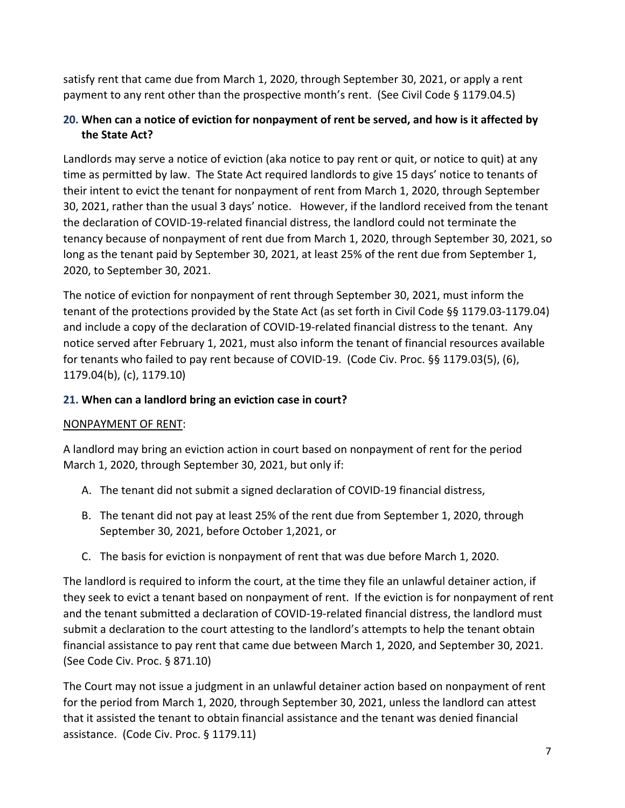satisfy rent that came due from March 1, 2020, through September 30, 2021, or apply a rent payment to any rent other than the prospective month's rent. (See Civil Code § 1179.04.5)

## <span id="page-6-0"></span>**20. When can a notice of eviction for nonpayment of rent be served, and how is it affected by the State Act?**

Landlords may serve a notice of eviction (aka notice to pay rent or quit, or notice to quit) at any time as permitted by law. The State Act required landlords to give 15 days' notice to tenants of their intent to evict the tenant for nonpayment of rent from March 1, 2020, through September 30, 2021, rather than the usual 3 days' notice. However, if the landlord received from the tenant the declaration of COVID-19-related financial distress, the landlord could not terminate the tenancy because of nonpayment of rent due from March 1, 2020, through September 30, 2021, so long as the tenant paid by September 30, 2021, at least 25% of the rent due from September 1, 2020, to September 30, 2021.

The notice of eviction for nonpayment of rent through September 30, 2021, must inform the tenant of the protections provided by the State Act (as set forth in Civil Code §§ 1179.03-1179.04) and include a copy of the declaration of COVID-19-related financial distress to the tenant. Any notice served after February 1, 2021, must also inform the tenant of financial resources available for tenants who failed to pay rent because of COVID-19. (Code Civ. Proc. §§ 1179.03(5), (6), 1179.04(b), (c), 1179.10)

## <span id="page-6-1"></span>**21. When can a landlord bring an eviction case in court?**

# NONPAYMENT OF RENT:

A landlord may bring an eviction action in court based on nonpayment of rent for the period March 1, 2020, through September 30, 2021, but only if:

- A. The tenant did not submit a signed declaration of COVID-19 financial distress,
- B. The tenant did not pay at least 25% of the rent due from September 1, 2020, through September 30, 2021, before October 1,2021, or
- C. The basis for eviction is nonpayment of rent that was due before March 1, 2020.

The landlord is required to inform the court, at the time they file an unlawful detainer action, if they seek to evict a tenant based on nonpayment of rent. If the eviction is for nonpayment of rent and the tenant submitted a declaration of COVID-19-related financial distress, the landlord must submit a declaration to the court attesting to the landlord's attempts to help the tenant obtain financial assistance to pay rent that came due between March 1, 2020, and September 30, 2021. (See Code Civ. Proc. § 871.10)

The Court may not issue a judgment in an unlawful detainer action based on nonpayment of rent for the period from March 1, 2020, through September 30, 2021, unless the landlord can attest that it assisted the tenant to obtain financial assistance and the tenant was denied financial assistance. (Code Civ. Proc. § 1179.11)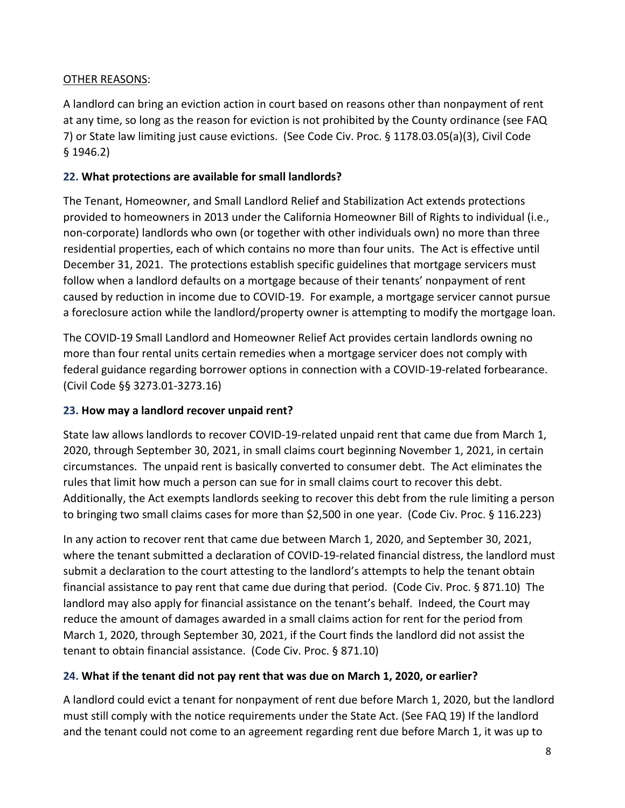### OTHER REASONS:

A landlord can bring an eviction action in court based on reasons other than nonpayment of rent at any time, so long as the reason for eviction is not prohibited by the County ordinance (see FAQ 7) or State law limiting just cause evictions. (See Code Civ. Proc. § 1178.03.05(a)(3), Civil Code § 1946.2)

### **22. What protections are available for small landlords?**

The Tenant, Homeowner, and Small Landlord Relief and Stabilization Act extends protections provided to homeowners in 2013 under the California Homeowner Bill of Rights to individual (i.e., non-corporate) landlords who own (or together with other individuals own) no more than three residential properties, each of which contains no more than four units. The Act is effective until December 31, 2021. The protections establish specific guidelines that mortgage servicers must follow when a landlord defaults on a mortgage because of their tenants' nonpayment of rent caused by reduction in income due to COVID-19. For example, a mortgage servicer cannot pursue a foreclosure action while the landlord/property owner is attempting to modify the mortgage loan.

The COVID-19 Small Landlord and Homeowner Relief Act provides certain landlords owning no more than four rental units certain remedies when a mortgage servicer does not comply with federal guidance regarding borrower options in connection with a COVID-19-related forbearance. (Civil Code §§ 3273.01-3273.16)

#### **23. How may a landlord recover unpaid rent?**

State law allows landlords to recover COVID-19-related unpaid rent that came due from March 1, 2020, through September 30, 2021, in small claims court beginning November 1, 2021, in certain circumstances. The unpaid rent is basically converted to consumer debt. The Act eliminates the rules that limit how much a person can sue for in small claims court to recover this debt. Additionally, the Act exempts landlords seeking to recover this debt from the rule limiting a person to bringing two small claims cases for more than \$2,500 in one year. (Code Civ. Proc. § 116.223)

In any action to recover rent that came due between March 1, 2020, and September 30, 2021, where the tenant submitted a declaration of COVID-19-related financial distress, the landlord must submit a declaration to the court attesting to the landlord's attempts to help the tenant obtain financial assistance to pay rent that came due during that period. (Code Civ. Proc. § 871.10) The landlord may also apply for financial assistance on the tenant's behalf. Indeed, the Court may reduce the amount of damages awarded in a small claims action for rent for the period from March 1, 2020, through September 30, 2021, if the Court finds the landlord did not assist the tenant to obtain financial assistance. (Code Civ. Proc. § 871.10)

## **24. What if the tenant did not pay rent that was due on March 1, 2020, or earlier?**

A landlord could evict a tenant for nonpayment of rent due before March 1, 2020, but the landlord must still comply with the notice requirements under the State Act. (See FAQ [19\)](#page-5-0) If the landlord and the tenant could not come to an agreement regarding rent due before March 1, it was up to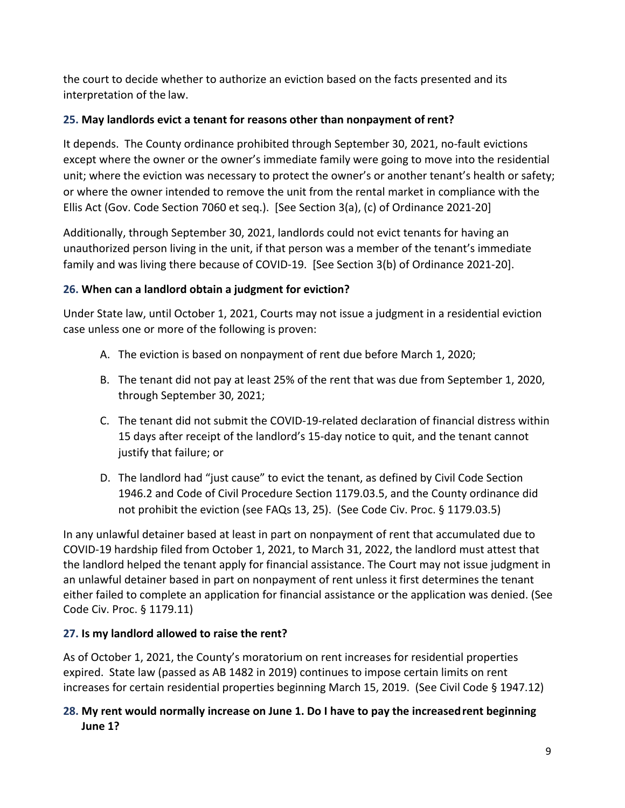the court to decide whether to authorize an eviction based on the facts presented and its interpretation of the law.

## <span id="page-8-1"></span>**25. May landlords evict a tenant for reasons other than nonpayment of rent?**

It depends. The County ordinance prohibited through September 30, 2021, no-fault evictions except where the owner or the owner's immediate family were going to move into the residential unit; where the eviction was necessary to protect the owner's or another tenant's health or safety; or where the owner intended to remove the unit from the rental market in compliance with the Ellis Act (Gov. Code Section 7060 et seq.). [See Section 3(a), (c) of Ordinance 2021-20]

Additionally, through September 30, 2021, landlords could not evict tenants for having an unauthorized person living in the unit, if that person was a member of the tenant's immediate family and was living there because of COVID-19. [See Section 3(b) of Ordinance 2021-20].

## <span id="page-8-0"></span>**26. When can a landlord obtain a judgment for eviction?**

Under State law, until October 1, 2021, Courts may not issue a judgment in a residential eviction case unless one or more of the following is proven:

- A. The eviction is based on nonpayment of rent due before March 1, 2020;
- B. The tenant did not pay at least 25% of the rent that was due from September 1, 2020, through September 30, 2021;
- C. The tenant did not submit the COVID-19-related declaration of financial distress within 15 days after receipt of the landlord's 15-day notice to quit, and the tenant cannot justify that failure; or
- D. The landlord had "just cause" to evict the tenant, as defined by Civil Code Section 1946.2 and Code of Civil Procedure Section 1179.03.5, and the County ordinance did not prohibit the eviction (see FAQs [13,](#page-3-0) [25\)](#page-8-1). (See Code Civ. Proc. § 1179.03.5)

In any unlawful detainer based at least in part on nonpayment of rent that accumulated due to COVID-19 hardship filed from October 1, 2021, to March 31, 2022, the landlord must attest that the landlord helped the tenant apply for financial assistance. The Court may not issue judgment in an unlawful detainer based in part on nonpayment of rent unless it first determines the tenant either failed to complete an application for financial assistance or the application was denied. (See Code Civ. Proc. § 1179.11)

## **27. Is my landlord allowed to raise the rent?**

As of October 1, 2021, the County's moratorium on rent increases for residential properties expired. State law (passed as AB 1482 in 2019) continues to impose certain limits on rent increases for certain residential properties beginning March 15, 2019. (See Civil Code § 1947.12)

### **28. My rent would normally increase on June 1. Do I have to pay the increasedrent beginning June 1?**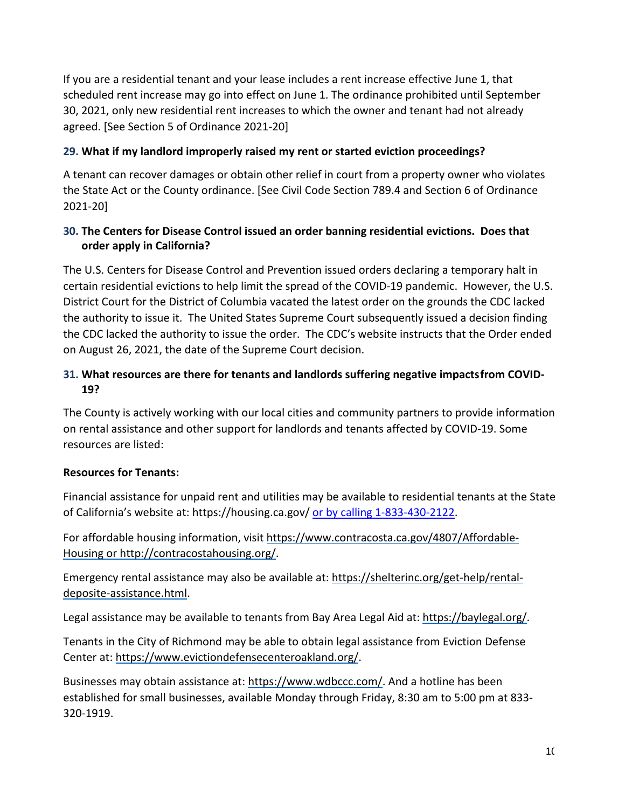If you are a residential tenant and your lease includes a rent increase effective June 1, that scheduled rent increase may go into effect on June 1. The ordinance prohibited until September 30, 2021, only new residential rent increases to which the owner and tenant had not already agreed. [See Section 5 of Ordinance 2021-20]

### **29. What if my landlord improperly raised my rent or started eviction proceedings?**

A tenant can recover damages or obtain other relief in court from a property owner who violates the State Act or the County ordinance. [See Civil Code Section 789.4 and Section 6 of Ordinance 2021-20]

### **30. The Centers for Disease Control issued an order banning residential evictions. Does that order apply in California?**

The U.S. Centers for Disease Control and Prevention issued orders declaring a temporary halt in certain residential evictions to help limit the spread of the COVID-19 pandemic. However, the U.S. District Court for the District of Columbia vacated the latest order on the grounds the CDC lacked the authority to issue it. The United States Supreme Court subsequently issued a decision finding the CDC lacked the authority to issue the order. The CDC's website instructs that the Order ended on August 26, 2021, the date of the Supreme Court decision.

### <span id="page-9-0"></span>**31. What resources are there for tenants and landlords suffering negative impactsfrom COVID-19?**

The County is actively working with our local cities and community partners to provide information on rental assistance and other support for landlords and tenants affected by COVID-19. Some resources are listed:

#### **Resources for Tenants:**

Financial assistance for unpaid rent and utilities may be available to residential tenants at the State of California's website at: https://housing.ca.gov/ or by calling 1-833-430-2122.

For affordable housing information, visit [https://www.contracosta.ca.gov/4807/Affordable-](https://www.contracosta.ca.gov/4807/Affordable-Housing)[Housing](https://www.contracosta.ca.gov/4807/Affordable-Housing) or http://contracostahousing.org/.

Emergency rental assistance may also be available at: [https://shelterinc.org/get-help/rental](https://shelterinc.org/get-help/rental-deposite-assistance.html)[deposite-assistance.html.](https://shelterinc.org/get-help/rental-deposite-assistance.html)

Legal assistance may be available to tenants from Bay Area Legal Aid at: [https://baylegal.org/.](https://baylegal.org/)

Tenants in the City of Richmond may be able to obtain legal assistance from Eviction Defense Center at: [https://www.evictiondefensecenteroakland.org/.](https://www.evictiondefensecenteroakland.org/)

Businesses may obtain assistance at: [https://www.wdbccc.com/.](https://www.wdbccc.com/) And a hotline has been established for small businesses, available Monday through Friday, 8:30 am to 5:00 pm at 833- 320-1919.